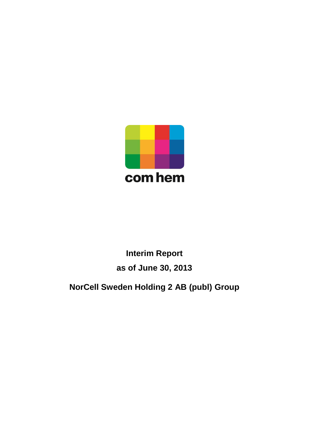

# **Interim Report as of June 30, 2013**

# **NorCell Sweden Holding 2 AB (publ) Group**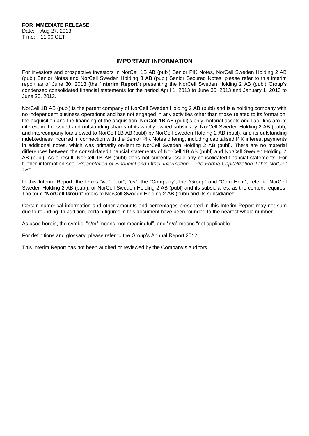**FOR IMMEDIATE RELEASE** Date: Aug 27, 2013 Time: 11:00 CET

# **IMPORTANT INFORMATION**

For investors and prospective investors in NorCell 1B AB (publ) Senior PIK Notes, NorCell Sweden Holding 2 AB (publ) Senior Notes and NorCell Sweden Holding 3 AB (publ) Senior Secured Notes, please refer to this interim report as of June 30, 2013 (the "**Interim Report**") presenting the NorCell Sweden Holding 2 AB (publ) Group's condensed consolidated financial statements for the period April 1, 2013 to June 30, 2013 and January 1, 2013 to June 30, 2013.

NorCell 1B AB (publ) is the parent company of NorCell Sweden Holding 2 AB (publ) and is a holding company with no independent business operations and has not engaged in any activities other than those related to its formation, the acquisition and the financing of the acquisition. NorCell 1B AB (publ)'s only material assets and liabilities are its interest in the issued and outstanding shares of its wholly owned subsidiary, NorCell Sweden Holding 2 AB (publ), and intercompany loans owed to NorCell 1B AB (publ) by NorCell Sweden Holding 2 AB (publ), and its outstanding indebtedness incurred in connection with the Senior PIK Notes offering, including capitalised PIK interest payments in additional notes, which was primarily on-lent to NorCell Sweden Holding 2 AB (publ). There are no material differences between the consolidated financial statements of NorCell 1B AB (publ) and NorCell Sweden Holding 2 AB (publ). As a result, NorCell 1B AB (publ) does not currently issue any consolidated financial statements. For further information see *"Presentation of Financial and Other Information – Pro Forma Capitalization Table NorCell 1B"*.

In this Interim Report, the terms "we", "our", "us", the "Company", the "Group" and "Com Hem", refer to NorCell Sweden Holding 2 AB (publ), or NorCell Sweden Holding 2 AB (publ) and its subsidiaries, as the context requires. The term "**NorCell Group**" refers to NorCell Sweden Holding 2 AB (publ) and its subsidiaries.

Certain numerical information and other amounts and percentages presented in this Interim Report may not sum due to rounding. In addition, certain figures in this document have been rounded to the nearest whole number.

As used herein, the symbol "n/m" means "not meaningful", and "n/a" means "not applicable".

For definitions and glossary, please refer to the Group's Annual Report 2012.

This Interim Report has not been audited or reviewed by the Company's auditors.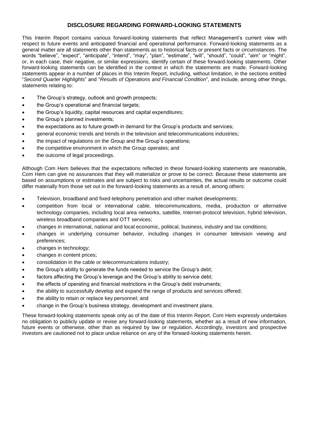# **DISCLOSURE REGARDING FORWARD-LOOKING STATEMENTS**

This Interim Report contains various forward-looking statements that reflect Management's current view with respect to future events and anticipated financial and operational performance. Forward-looking statements as a general matter are all statements other than statements as to historical facts or present facts or circumstances. The words "believe", "expect", "anticipate", "intend", "may", "plan", "estimate", "will", "should", "could", "aim" or "might", or, in each case, their negative, or similar expressions, identify certain of these forward-looking statements. Other forward-looking statements can be identified in the context in which the statements are made. Forward-looking statements appear in a number of places in this Interim Report, including, without limitation, in the sections entitled "*Second Quarter Highlights*" and "*Results of Operations and Financial Condition*", and include, among other things, statements relating to:

- The Group's strategy, outlook and growth prospects;
- the Group's operational and financial targets;
- the Group's liquidity, capital resources and capital expenditures;
- the Group's planned investments;
- the expectations as to future growth in demand for the Group's products and services;
- general economic trends and trends in the television and telecommunications industries;
- the impact of regulations on the Group and the Group's operations;
- the competitive environment in which the Group operates; and
- the outcome of legal proceedings.

Although Com Hem believes that the expectations reflected in these forward-looking statements are reasonable, Com Hem can give no assurances that they will materialize or prove to be correct. Because these statements are based on assumptions or estimates and are subject to risks and uncertainties, the actual results or outcome could differ materially from those set out in the forward-looking statements as a result of, among others:

- Television, broadband and fixed-telephony penetration and other market developments;
- competition from local or international cable, telecommunications, media, production or alternative technology companies, including local area networks, satellite, Internet-protocol television, hybrid television, wireless broadband companies and OTT services;
- changes in international, national and local economic, political, business, industry and tax conditions;
- changes in underlying consumer behavior, including changes in consumer television viewing and preferences;
- changes in technology;
- changes in content prices;
- consolidation in the cable or telecommunications industry;
- the Group's ability to generate the funds needed to service the Group's debt;
- factors affecting the Group's leverage and the Group's ability to service debt;
- the effects of operating and financial restrictions in the Group's debt instruments;
- the ability to successfully develop and expand the range of products and services offered;
- the ability to retain or replace key personnel; and
- change in the Group's business strategy, development and investment plans.

These forward-looking statements speak only as of the date of this Interim Report. Com Hem expressly undertakes no obligation to publicly update or revise any forward-looking statements, whether as a result of new information, future events or otherwise, other than as required by law or regulation. Accordingly, investors and prospective investors are cautioned not to place undue reliance on any of the forward-looking statements herein.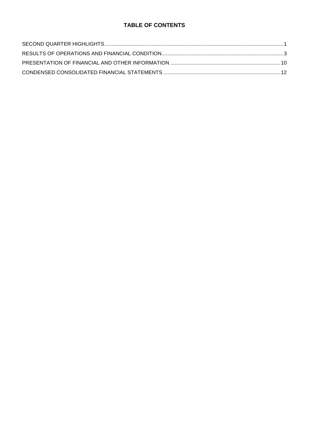# **TABLE OF CONTENTS**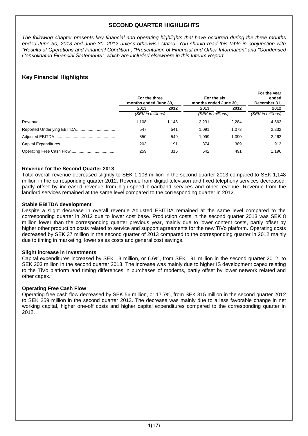# **SECOND QUARTER HIGHLIGHTS**

*The following chapter presents key financial and operating highlights that have occurred during the three months ended June 30, 2013 and June 30, 2012 unless otherwise stated. You should read this table in conjunction with "Results of Operations and Financial Condition", "Presentation of Financial and Other Information" and "Condensed Consolidated Financial Statements", which are included elsewhere in this Interim Report.*

# **Key Financial Highlights**

| For the three<br>months ended June 30, |       | For the six<br>months ended June 30, | For the year<br>ended<br>December 31, |                   |
|----------------------------------------|-------|--------------------------------------|---------------------------------------|-------------------|
| 2013                                   | 2012  | 2013                                 | 2012                                  | 2012              |
| (SEK in millions)                      |       | (SEK in millions)                    |                                       | (SEK in millions) |
| 1.108                                  | 1.148 | 2.231                                | 2.284                                 | 4,562             |
| 547                                    | 541   | 1.091                                | 1.073                                 | 2,232             |
| 550                                    | 549   | 1.099                                | 1.090                                 | 2.262             |
| 203                                    | 191   | 374                                  | 389                                   | 913               |
| 259                                    | 315   | 542                                  | 491                                   | 1,196             |

# **Revenue for the Second Quarter 2013**

Total overall revenue decreased slightly to SEK 1,108 million in the second quarter 2013 compared to SEK 1,148 million in the corresponding quarter 2012. Revenue from digital-television and fixed-telephony services decreased, partly offset by increased revenue from high-speed broadband services and other revenue. Revenue from the landlord services remained at the same level compared to the corresponding quarter in 2012.

# **Stable EBITDA development**

Despite a slight decrease in overall revenue Adjusted EBITDA remained at the same level compared to the corresponding quarter in 2012 due to lower cost base. Production costs in the second quarter 2013 was SEK 8 million lower than the corresponding quarter previous year, mainly due to lower content costs, partly offset by higher other production costs related to service and support agreements for the new TiVo platform. Operating costs decreased by SEK 37 million in the second quarter of 2013 compared to the corresponding quarter in 2012 mainly due to timing in marketing, lower sales costs and general cost savings.

# **Slight increase in Investments**

Capital expenditures increased by SEK 13 million, or 6.6%, from SEK 191 million in the second quarter 2012, to SEK 203 million in the second quarter 2013. The increase was mainly due to higher IS development capex relating to the TiVo platform and timing differences in purchases of modems, partly offset by lower network related and other capex.

# **Operating Free Cash Flow**

Operating free cash flow decreased by SEK 56 million, or 17.7%, from SEK 315 million in the second quarter 2012 to SEK 259 million in the second quarter 2013. The decrease was mainly due to a less favorable change in net working capital, higher one-off costs and higher capital expenditures compared to the corresponding quarter in 2012.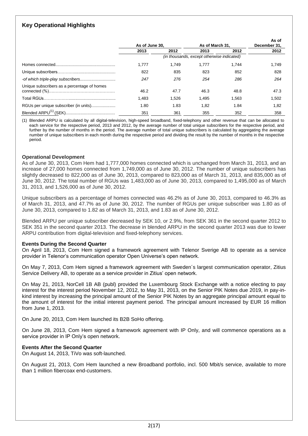# **Key Operational Highlights**

|                                             | As of June 30, |       | As of March 31,                            |       | As of<br>December 31. |
|---------------------------------------------|----------------|-------|--------------------------------------------|-------|-----------------------|
|                                             | 2013           | 2012  | 2013                                       | 2012  | 2012                  |
|                                             |                |       | (in thousands, except otherwise indicated) |       |                       |
|                                             | 1.777          | 1.749 | 1.777                                      | 1.744 | 1,749                 |
|                                             | 822            | 835   | 823                                        | 852   | 828                   |
|                                             | 247            | 276   | 254                                        | 286   | 264                   |
| Unique subscribers as a percentage of homes | 46.2           | 47.7  | 46.3                                       | 48.8  | 47.3                  |
|                                             | 1.483          | 1.526 | 1.495                                      | 1.563 | 1,502                 |
| RGUs per unique subscriber (in units)       | 1.80           | 1.83  | 1.82                                       | 1.84  | 1,82                  |
|                                             | 351            | 361   | 355                                        | 352   | 358                   |

(1) Blended ARPU is calculated by all digital-television, high-speed broadband, fixed-telephony and other revenue that can be allocated to each service for the respective period, 2013 and 2012, by the average number of total unique subscribers for the respective period, and further by the number of months in the period. The average number of total unique subscribers is calculated by aggregating the average number of unique subscribers in each month during the respective period and dividing the result by the number of months in the respective period.

### **Operational Development**

As of June 30, 2013, Com Hem had 1,777,000 homes connected which is unchanged from March 31, 2013, and an increase of 27,000 homes connected from 1,749,000 as of June 30, 2012. The number of unique subscribers has slightly decreased to 822,000 as of June 30, 2013, compared to 823,000 as of March 31, 2013, and 835,000 as of June 30, 2012. The total number of RGUs was 1,483,000 as of June 30, 2013, compared to 1,495,000 as of March 31, 2013, and 1,526,000 as of June 30, 2012.

Unique subscribers as a percentage of homes connected was 46.2% as of June 30, 2013, compared to 46.3% as of March 31, 2013, and 47.7% as of June 30, 2012. The number of RGUs per unique subscriber was 1.80 as of June 30, 2013, compared to 1.82 as of March 31, 2013, and 1.83 as of June 30, 2012.

Blended ARPU per unique subscriber decreased by SEK 10, or 2.9%, from SEK 361 in the second quarter 2012 to SEK 351 in the second quarter 2013. The decrease in blended ARPU in the second quarter 2013 was due to lower ARPU contribution from digital-television and fixed-telephony services.

# **Events During the Second Quarter**

On April 18, 2013, Com Hem signed a framework agreement with Telenor Sverige AB to operate as a service provider in Telenor's communication operator Open Universe's open network.

On May 7, 2013, Com Hem signed a framework agreement with Sweden´s largest communication operator, Zitius Service Delivery AB, to operate as a service provider in Zitius' open network.

On May 21, 2013, NorCell 1B AB (publ) provided the Luxembourg Stock Exchange with a notice electing to pay interest for the interest period November 12, 2012, to May 31, 2013, on the Senior PIK Notes due 2019, in pay-inkind interest by increasing the principal amount of the Senior PIK Notes by an aggregate principal amount equal to the amount of interest for the initial interest payment period. The principal amount increased by EUR 16 million from June 1, 2013.

On June 20, 2013, Com Hem launched its B2B SoHo offering.

On June 28, 2013, Com Hem signed a framework agreement with IP Only, and will commence operations as a service provider in IP Only's open network.

# **Events After the Second Quarter**

On August 14, 2013, TiVo was soft-launched.

On August 21, 2013, Com Hem launched a new Broadband portfolio, incl. 500 Mbit/s service, available to more than 1 million fibercoax end-customers.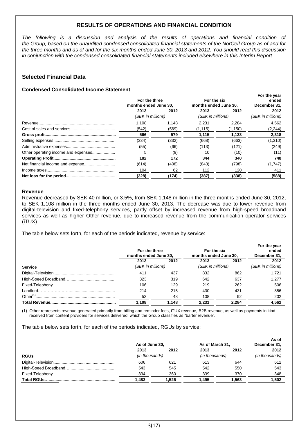# **RESULTS OF OPERATIONS AND FINANCIAL CONDITION**

*The following is a discussion and analysis of the results of operations and financial condition of the Group, based on the unaudited condensed consolidated financial statements of the NorCell Group as of and for the three months and as of and for the six months ended June 30, 2013 and 2012. You should read this discussion in conjunction with the condensed consolidated financial statements included elsewhere in this Interim Report.*

# **Selected Financial Data**

# **Condensed Consolidated Income Statement**

|                                     | For the three<br>months ended June 30, |       | For the six<br>months ended June 30, | For the year<br>ended<br>December 31, |                   |
|-------------------------------------|----------------------------------------|-------|--------------------------------------|---------------------------------------|-------------------|
|                                     | 2013                                   | 2012  | 2013                                 | 2012                                  | 2012              |
|                                     | (SEK in millions)                      |       | (SEK in millions)                    |                                       | (SEK in millions) |
|                                     | 1.108                                  | 1.148 | 2.231                                | 2.284                                 | 4.562             |
|                                     | (542)                                  | (569) | (1, 115)                             | (1, 150)                              | (2, 244)          |
|                                     | 566                                    | 579   | 1,115                                | 1,133                                 | 2,318             |
|                                     | (334)                                  | (332) | (668)                                | (663)                                 | (1,310)           |
|                                     | (55)                                   | (66)  | (113)                                | (121)                                 | (249)             |
| Other operating income and expenses | 5                                      | (9)   | 10                                   | (10)                                  | (11)              |
|                                     | 182                                    | 172   | 344                                  | 340                                   | 748               |
| Net financial income and expense    | (614)                                  | (408) | (843)                                | (798)                                 | (1,747)           |
|                                     | 104                                    | 62    | 112                                  | 120                                   | 411               |
|                                     | (328)                                  | (174) | (387)                                | (338)                                 | (588)             |

#### **Revenue**

Revenue decreased by SEK 40 million, or 3.5%, from SEK 1,148 million in the three months ended June 30, 2012, to SEK 1,108 million in the three months ended June 30, 2013. The decrease was due to lower revenue from digital-television and fixed-telephony services, partly offset by increased revenue from high-speed broadband services as well as higher Other revenue, due to increased revenue from the communication operator services (iTUX).

The table below sets forth, for each of the periods indicated, revenue by service:

|                | For the three<br>months ended June 30, |       | For the six<br>months ended June 30, | For the year<br>ended<br>December 31, |                   |  |
|----------------|----------------------------------------|-------|--------------------------------------|---------------------------------------|-------------------|--|
|                | 2013                                   | 2012  | 2013                                 | 2012                                  | 2012              |  |
| <b>Service</b> | (SEK in millions)                      |       | (SEK in millions)                    |                                       | (SEK in millions) |  |
|                | 411                                    | 437   | 832                                  | 862                                   | 1.721             |  |
|                | 323                                    | 319   | 642                                  | 637                                   | 1.277             |  |
|                | 106                                    | 129   | 219                                  | 262                                   | 506               |  |
|                | 214                                    | 215   | 430                                  | 431                                   | 856               |  |
|                | 53                                     | 48    | 108                                  | 92                                    | 202               |  |
|                | 1.108                                  | 1.148 | 2.231                                | 2.284                                 | 4,562             |  |

(1) Other represents revenue generated primarily from billing and reminder fees, iTUX revenue, B2B revenue, as well as payments in kind received from content providers for services delivered, which the Group classifies as "barter revenue".

The table below sets forth, for each of the periods indicated, RGUs by service:

|             | As of June 30, |       | As of March 31. |       | As of<br>December 31, |  |
|-------------|----------------|-------|-----------------|-------|-----------------------|--|
|             | 2013           | 2012  | 2013            | 2012  | 2012                  |  |
| <b>RGUs</b> | (in thousands) |       | (in thousands)  |       | (in thousands)        |  |
|             | 606            | 621   | 613             | 644   | 612                   |  |
|             | 543            | 545   | 542             | 550   | 543                   |  |
|             | 334            | 360   | 339             | 370   | 348                   |  |
|             | 1.483          | 1.526 | 1.495           | 1.563 | 1.502                 |  |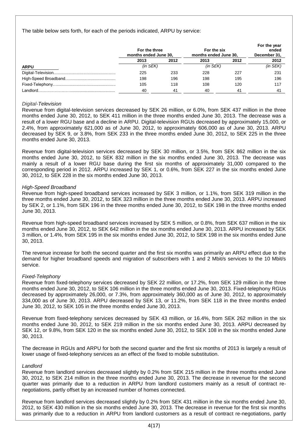The table below sets forth, for each of the periods indicated, ARPU by service:

|             | For the three<br>months ended June 30, |      | For the six<br>months ended June 30, | For the year<br>ended<br>December 31, |               |
|-------------|----------------------------------------|------|--------------------------------------|---------------------------------------|---------------|
|             | 2013                                   | 2012 | 2013                                 | 2012                                  | 2012          |
| <b>ARPU</b> | $(in$ SEK $)$                          |      | $(in$ SEK $)$                        |                                       | $(in$ SEK $)$ |
|             | 225                                    | 233  | 228                                  | 227                                   | 231           |
|             | 198                                    | 196  | 198                                  | 195                                   | 196           |
|             | 105                                    | 118  | 108                                  | 120                                   | 117           |
| Landlord.   | 40                                     | 41   | 40                                   | 41                                    | 41            |

## *Digital-Television*

Revenue from digital-television services decreased by SEK 26 million, or 6.0%, from SEK 437 million in the three months ended June 30, 2012, to SEK 411 million in the three months ended June 30, 2013. The decrease was a result of a lower RGU base and a decline in ARPU. Digital-television RGUs decreased by approximately 15,000, or 2.4%, from approximately 621,000 as of June 30, 2012, to approximately 606,000 as of June 30, 2013. ARPU decreased by SEK 9, or 3.8%, from SEK 233 in the three months ended June 30, 2012, to SEK 225 in the three months ended June 30, 2013.

Revenue from digital-television services decreased by SEK 30 million, or 3.5%, from SEK 862 million in the six months ended June 30, 2012, to SEK 832 million in the six months ended June 30, 2013. The decrease was mainly a result of a lower RGU base during the first six months of approximately 31,000 compared to the corresponding period in 2012. ARPU increased by SEK 1, or 0.6%, from SEK 227 in the six months ended June 30, 2012, to SEK 228 in the six months ended June 30, 2013.

### *High-Speed Broadband*

Revenue from high-speed broadband services increased by SEK 3 million, or 1.1%, from SEK 319 million in the three months ended June 30, 2012, to SEK 323 million in the three months ended June 30, 2013. ARPU increased by SEK 2, or 1.1%, from SEK 196 in the three months ended June 30, 2012, to SEK 198 in the three months ended June 30, 2013.

Revenue from high-speed broadband services increased by SEK 5 million, or 0.8%, from SEK 637 million in the six months ended June 30, 2012, to SEK 642 million in the six months ended June 30, 2013. ARPU increased by SEK 3 million, or 1.4%, from SEK 195 in the six months ended June 30, 2012, to SEK 198 in the six months ended June 30, 2013.

The revenue increase for both the second quarter and the first six months was primarily an ARPU effect due to the demand for higher broadband speeds and migration of subscribers with 1 and 2 Mbit/s services to the 10 Mbit/s service.

#### *Fixed-Telephony*

Revenue from fixed-telephony services decreased by SEK 22 million, or 17.2%, from SEK 129 million in the three months ended June 30, 2012, to SEK 106 million in the three months ended June 30, 2013. Fixed-telephony RGUs decreased by approximately 26,000, or 7.3%, from approximately 360,000 as of June 30, 2012, to approximately 334,000 as of June 30, 2013. ARPU decreased by SEK 13, or 11.2%, from SEK 118 in the three months ended June 30, 2012, to SEK 105 in the three months ended June 30, 2013.

Revenue from fixed-telephony services decreased by SEK 43 million, or 16.4%, from SEK 262 million in the six months ended June 30, 2012, to SEK 219 million in the six months ended June 30, 2013. ARPU decreased by SEK 12, or 9.8%, from SEK 120 in the six months ended June 30, 2012, to SEK 108 in the six months ended June 30, 2013.

The decrease in RGUs and ARPU for both the second quarter and the first six months of 2013 is largely a result of lower usage of fixed-telephony services as an effect of the fixed to mobile substitution.

#### *Landlord*

Revenue from landlord services decreased slightly by 0.2% from SEK 215 million in the three months ended June 30, 2012, to SEK 214 million in the three months ended June 30, 2013. The decrease in revenue for the second quarter was primarily due to a reduction in ARPU from landlord customers mainly as a result of contract renegotiations, partly offset by an increased number of homes connected.

Revenue from landlord services decreased slightly by 0.2% from SEK 431 million in the six months ended June 30, 2012, to SEK 430 million in the six months ended June 30, 2013. The decrease in revenue for the first six months was primarily due to a reduction in ARPU from landlord customers as a result of contract re-negotiations, partly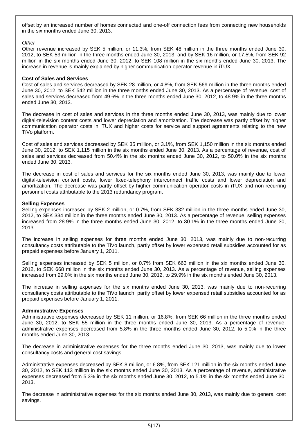offset by an increased number of homes connected and one-off connection fees from connecting new households in the six months ended June 30, 2013.

## *Other*

Other revenue increased by SEK 5 million, or 11.3%, from SEK 48 million in the three months ended June 30, 2012, to SEK 53 million in the three months ended June 30, 2013, and by SEK 16 million, or 17.5%, from SEK 92 million in the six months ended June 30, 2012, to SEK 108 million in the six months ended June 30, 2013. The increase in revenue is mainly explained by higher communication operator revenue in iTUX.

#### **Cost of Sales and Services**

Cost of sales and services decreased by SEK 28 million, or 4.8%, from SEK 569 million in the three months ended June 30, 2012, to SEK 542 million in the three months ended June 30, 2013. As a percentage of revenue, cost of sales and services decreased from 49.6% in the three months ended June 30, 2012, to 48.9% in the three months ended June 30, 2013.

The decrease in cost of sales and services in the three months ended June 30, 2013, was mainly due to lower digital-television content costs and lower depreciation and amortization. The decrease was partly offset by higher communication operator costs in iTUX and higher costs for service and support agreements relating to the new TiVo platform.

Cost of sales and services decreased by SEK 35 million, or 3.1%, from SEK 1,150 million in the six months ended June 30, 2012, to SEK 1,115 million in the six months ended June 30, 2013. As a percentage of revenue, cost of sales and services decreased from 50.4% in the six months ended June 30, 2012, to 50.0% in the six months ended June 30, 2013.

The decrease in cost of sales and services for the six months ended June 30, 2013, was mainly due to lower digital-television content costs, lower fixed-telephony interconnect traffic costs and lower depreciation and amortization. The decrease was partly offset by higher communication operator costs in iTUX and non-recurring personnel costs attributable to the 2013 redundancy program.

### **Selling Expenses**

Selling expenses increased by SEK 2 million, or 0.7%, from SEK 332 million in the three months ended June 30, 2012, to SEK 334 million in the three months ended June 30, 2013. As a percentage of revenue, selling expenses increased from 28.9% in the three months ended June 30, 2012, to 30.1% in the three months ended June 30, 2013.

The increase in selling expenses for three months ended June 30, 2013, was mainly due to non-recurring consultancy costs attributable to the TiVo launch, partly offset by lower expensed retail subsidies accounted for as prepaid expenses before January 1, 2011.

Selling expenses increased by SEK 5 million, or 0.7% from SEK 663 million in the six months ended June 30, 2012, to SEK 668 million in the six months ended June 30, 2013. As a percentage of revenue, selling expenses increased from 29.0% in the six months ended June 30, 2012, to 29.9% in the six months ended June 30, 2013.

The increase in selling expenses for the six months ended June 30, 2013, was mainly due to non-recurring consultancy costs attributable to the TiVo launch, partly offset by lower expensed retail subsidies accounted for as prepaid expenses before January 1, 2011.

#### **Administrative Expenses**

Administrative expenses decreased by SEK 11 million, or 16.8%, from SEK 66 million in the three months ended June 30, 2012, to SEK 55 million in the three months ended June 30, 2013. As a percentage of revenue, administrative expenses decreased from 5.8% in the three months ended June 30, 2012, to 5.0% in the three months ended June 30, 2013.

The decrease in administrative expenses for the three months ended June 30, 2013, was mainly due to lower consultancy costs and general cost savings.

Administrative expenses decreased by SEK 8 million, or 6.8%, from SEK 121 million in the six months ended June 30, 2012, to SEK 113 million in the six months ended June 30, 2013. As a percentage of revenue, administrative expenses decreased from 5.3% in the six months ended June 30, 2012, to 5.1% in the six months ended June 30, 2013.

The decrease in administrative expenses for the six months ended June 30, 2013, was mainly due to general cost savings.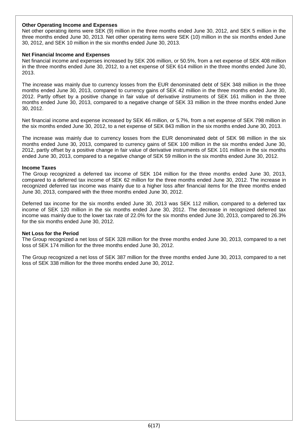# **Other Operating Income and Expenses**

Net other operating items were SEK (9) million in the three months ended June 30, 2012, and SEK 5 million in the three months ended June 30, 2013. Net other operating items were SEK (10) million in the six months ended June 30, 2012, and SEK 10 million in the six months ended June 30, 2013.

## **Net Financial Income and Expenses**

Net financial income and expenses increased by SEK 206 million, or 50.5%, from a net expense of SEK 408 million in the three months ended June 30, 2012, to a net expense of SEK 614 million in the three months ended June 30, 2013.

The increase was mainly due to currency losses from the EUR denominated debt of SEK 348 million in the three months ended June 30, 2013, compared to currency gains of SEK 42 million in the three months ended June 30, 2012. Partly offset by a positive change in fair value of derivative instruments of SEK 161 million in the three months ended June 30, 2013, compared to a negative change of SEK 33 million in the three months ended June 30, 2012.

Net financial income and expense increased by SEK 46 million, or 5.7%, from a net expense of SEK 798 million in the six months ended June 30, 2012, to a net expense of SEK 843 million in the six months ended June 30, 2013.

The increase was mainly due to currency losses from the EUR denominated debt of SEK 98 million in the six months ended June 30, 2013, compared to currency gains of SEK 100 million in the six months ended June 30, 2012, partly offset by a positive change in fair value of derivative instruments of SEK 101 million in the six months ended June 30, 2013, compared to a negative change of SEK 59 million in the six months ended June 30, 2012.

## **Income Taxes**

The Group recognized a deferred tax income of SEK 104 million for the three months ended June 30, 2013, compared to a deferred tax income of SEK 62 million for the three months ended June 30, 2012. The increase in recognized deferred tax income was mainly due to a higher loss after financial items for the three months ended June 30, 2013, compared with the three months ended June 30, 2012.

Deferred tax income for the six months ended June 30, 2013 was SEK 112 million, compared to a deferred tax income of SEK 120 million in the six months ended June 30, 2012. The decrease in recognized deferred tax income was mainly due to the lower tax rate of 22.0% for the six months ended June 30, 2013, compared to 26.3% for the six months ended June 30, 2012.

# **Net Loss for the Period**

The Group recognized a net loss of SEK 328 million for the three months ended June 30, 2013, compared to a net loss of SEK 174 million for the three months ended June 30, 2012.

The Group recognized a net loss of SEK 387 million for the three months ended June 30, 2013, compared to a net loss of SEK 338 million for the three months ended June 30, 2012.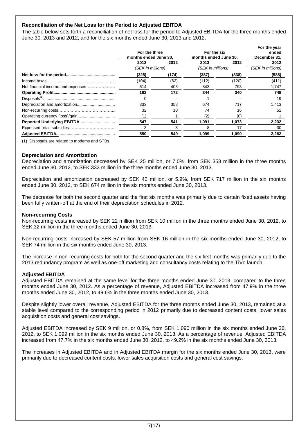# **Reconciliation of the Net Loss for the Period to Adjusted EBITDA**

The table below sets forth a reconciliation of net loss for the period to Adjusted EBITDA for the three months ended June 30, 2013 and 2012, and for the six months ended June 30, 2013 and 2012.

|                                   | For the three<br>months ended June 30. |       | For the six<br>months ended June 30, |       | For the year<br>ended<br>December 31, |  |
|-----------------------------------|----------------------------------------|-------|--------------------------------------|-------|---------------------------------------|--|
|                                   | 2013                                   | 2012  | 2013                                 | 2012  | 2012                                  |  |
|                                   | (SEK in millions)                      |       | (SEK in millions)                    |       | (SEK in millions)                     |  |
|                                   | (328)                                  | (174) | (387)                                | (338) | (588)                                 |  |
|                                   | (104)                                  | (62)  | (112)                                | (120) | (411)                                 |  |
| Net financial income and expenses | 614                                    | 408   | 843                                  | 798   | 1,747                                 |  |
|                                   | 182                                    | 172   | 344                                  | 340   | 748                                   |  |
|                                   |                                        |       |                                      |       | 19                                    |  |
|                                   | 333                                    | 358   | 674                                  | 717   | 1.413                                 |  |
|                                   | 32                                     | 10    | 74                                   | 16    | 52                                    |  |
|                                   | (1)                                    |       | (2)                                  | (0)   |                                       |  |
|                                   | 547                                    | 541   | 1.091                                | 1.073 | 2,232                                 |  |
|                                   | 3                                      | 8     | 8                                    | 17    | 30                                    |  |
|                                   | 550                                    | 549   | 1.099                                | 1.090 | 2.262                                 |  |

(1) Disposals are related to modems and STBs.

#### **Depreciation and Amortization**

Depreciation and amortization decreased by SEK 25 million, or 7.0%, from SEK 358 million in the three months ended June 30, 2012, to SEK 333 million in the three months ended June 30, 2013.

Depreciation and amortization decreased by SEK 42 million, or 5.9%, from SEK 717 million in the six months ended June 30, 2012, to SEK 674 million in the six months ended June 30, 2013.

The decrease for both the second quarter and the first six months was primarily due to certain fixed assets having been fully written-off at the end of their depreciation schedules in 2012.

#### **Non-recurring Costs**

Non-recurring costs increased by SEK 22 million from SEK 10 million in the three months ended June 30, 2012, to SEK 32 million in the three months ended June 30, 2013.

Non-recurring costs increased by SEK 57 million from SEK 16 million in the six months ended June 30, 2012, to SEK 74 million in the six months ended June 30, 2013.

The increase in non-recurring costs for both for the second quarter and the six first months was primarily due to the 2013 redundancy program as well as one-off marketing and consultancy costs relating to the TiVo launch.

#### **Adjusted EBITDA**

Adjusted EBITDA remained at the same level for the three months ended June 30, 2013, compared to the three months ended June 30, 2012. As a percentage of revenue, Adjusted EBITDA increased from 47.9% in the three months ended June 30, 2012, to 49.6% in the three months ended June 30, 2013.

Despite slightly lower overall revenue, Adjusted EBITDA for the three months ended June 30, 2013, remained at a stable level compared to the corresponding period in 2012 primarily due to decreased content costs, lower sales acquisition costs and general cost savings.

Adjusted EBITDA increased by SEK 9 million, or 0.8%, from SEK 1,090 million in the six months ended June 30, 2012, to SEK 1,099 million in the six months ended June 30, 2013. As a percentage of revenue, Adjusted EBITDA increased from 47.7% in the six months ended June 30, 2012, to 49.2% in the six months ended June 30, 2013.

The increases in Adjusted EBITDA and in Adjusted EBITDA margin for the six months ended June 30, 2013, were primarily due to decreased content costs, lower sales acquisition costs and general cost savings.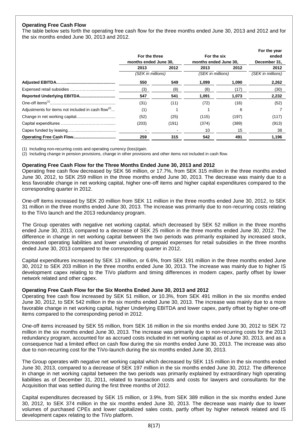# **Operating Free Cash Flow**

The table below sets forth the operating free cash flow for the three months ended June 30, 2013 and 2012 and for the six months ended June 30, 2013 and 2012.

|                                                                |                       |       |                       |       | For the year      |  |
|----------------------------------------------------------------|-----------------------|-------|-----------------------|-------|-------------------|--|
|                                                                | For the three         |       | For the six           |       | ended             |  |
|                                                                | months ended June 30. |       | months ended June 30. |       | December 31.      |  |
|                                                                | 2013                  | 2012  | 2013                  | 2012  | 2012              |  |
|                                                                | (SEK in millions)     |       | (SEK in millions)     |       | (SEK in millions) |  |
|                                                                | 550                   | 549   | 1,099                 | 1,090 | 2,262             |  |
|                                                                | (3)                   | (8)   | (8)                   | (17)  | (30)              |  |
|                                                                | 547                   | 541   | 1,091                 | 1,073 | 2,232             |  |
|                                                                | (31)                  | (11)  | (72)                  | (16)  | (52)              |  |
| Adjustments for items not included in cash flow <sup>(2)</sup> | (1)                   |       |                       | 6     |                   |  |
|                                                                | (52)                  | (25)  | (115)                 | (197) | (117)             |  |
|                                                                | (203)                 | (191) | (374)                 | (389) | (913)             |  |
|                                                                |                       |       | 10                    | 15    | 38                |  |
|                                                                | 259                   | 315   | 542                   | 491   | 1,196             |  |

(1) Including non-recurring costs and operating currency (loss)/gain.

(2) Including change in pension provisions, change in other provisions and other items not included in cash flow.

### **Operating Free Cash Flow for the Three Months Ended June 30, 2013 and 2012**

Operating free cash flow decreased by SEK 56 million, or 17.7%, from SEK 315 million in the three months ended June 30, 2012, to SEK 259 million in the three months ended June 30, 2013. The decrease was mainly due to a less favorable change in net working capital, higher one-off items and higher capital expenditures compared to the corresponding quarter in 2012.

One-off items increased by SEK 20 million from SEK 11 million in the three months ended June 30, 2012, to SEK 31 million in the three months ended June 30, 2013. The increase was primarily due to non-recurring costs relating to the TiVo launch and the 2013 redundancy program.

The Group operates with negative net working capital, which decreased by SEK 52 million in the three months ended June 30, 2013, compared to a decrease of SEK 25 million in the three months ended June 30, 2012. The difference in change in net working capital between the two periods was primarily explained by increased stock, decreased operating liabilities and lower unwinding of prepaid expenses for retail subsidies in the three months ended June 30, 2013 compared to the corresponding quarter in 2012.

Capital expenditures increased by SEK 13 million, or 6.6%, from SEK 191 million in the three months ended June 30, 2012 to SEK 203 million in the three months ended June 30, 2013. The increase was mainly due to higher IS development capex relating to the TiVo platform and timing differences in modem capex, partly offset by lower network related and other capex.

#### **Operating Free Cash Flow for the Six Months Ended June 30, 2013 and 2012**

Operating free cash flow increased by SEK 51 million, or 10.3%, from SEK 491 million in the six months ended June 30, 2012, to SEK 542 million in the six months ended June 30, 2013. The increase was mainly due to a more favorable change in net working capital, higher Underlying EBITDA and lower capex, partly offset by higher one-off items compared to the corresponding period in 2012.

One-off items increased by SEK 55 million, from SEK 16 million in the six months ended June 30, 2012 to SEK 72 million in the six months ended June 30, 2013. The increase was primarily due to non-recurring costs for the 2013 redundancy program, accounted for as accrued costs included in net working capital as of June 30, 2013, and as a consequence had a limited effect on cash flow during the six months ended June 30, 2013. The increase was also due to non-recurring cost for the TiVo-launch during the six months ended June 30, 2013.

The Group operates with negative net working capital which decreased by SEK 115 million in the six months ended June 30, 2013, compared to a decrease of SEK 197 million in the six months ended June 30, 2012. The difference in change in net working capital between the two periods was primarily explained by extraordinary high operating liabilities as of December 31, 2011, related to transaction costs and costs for lawyers and consultants for the Acquisition that was settled during the first three months of 2012.

Capital expenditures decreased by SEK 15 million, or 3.9%, from SEK 389 million in the six months ended June 30, 2012, to SEK 374 million in the six months ended June 30, 2013. The decrease was mainly due to lower volumes of purchased CPEs and lower capitalized sales costs, partly offset by higher network related and IS development capex relating to the TiVo platform.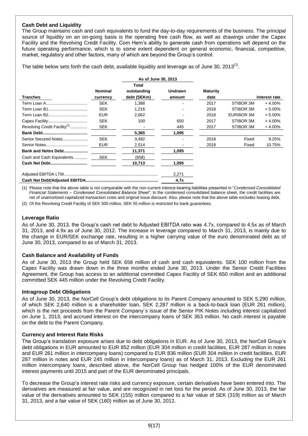# **Cash Debt and Liquidity**

The Group maintains cash and cash equivalents to fund the day-to-day requirements of the business. The principal source of liquidity on an on-going basis is the operating free cash flow, as well as drawings under the Capex Facility and the Revolving Credit Facility. Com Hem's ability to generate cash from operations will depend on the future operating performance, which is to some extent dependent on general economic, financial, competitive, market, regulatory and other factors, many of which are beyond the Group's control.

The table below sets forth the cash debt, available liquidity and leverage as of June 30, 2013<sup>(1)</sup>.

|                                          |                | As of June 30, 2013 |                |                 |            |               |
|------------------------------------------|----------------|---------------------|----------------|-----------------|------------|---------------|
|                                          |                | Total               |                |                 |            |               |
|                                          | <b>Nominal</b> | outstanding         | <b>Undrawn</b> | <b>Maturity</b> |            |               |
| <b>Tranches</b>                          | currency       | debt (SEKm)         | amount         | date            |            | Interest rate |
|                                          | <b>SEK</b>     | 1.388               |                | 2017            | STIBOR 3M  | $+4.00%$      |
|                                          | <b>SEK</b>     | 1,216               |                | 2018            | STIBOR 3M  | $+5.00%$      |
| Term Loan B2                             | <b>EUR</b>     | 2,662               |                | 2018            | EURIBOR 3M | $+5.00%$      |
|                                          | <b>SEK</b>     | 100                 | 650            | 2017            | STIBOR 3M  | $+4.00%$      |
| Revolving Credit Facility <sup>(2)</sup> | <b>SEK</b>     |                     | 445            | 2017            | STIBOR 3M  | $+4.00%$      |
|                                          |                | 5,365               | 1,095          |                 |            |               |
| Senior Secured Notes                     | <b>SEK</b>     | 3,492               |                | 2018            | Fixed      | 9.25%         |
|                                          | <b>EUR</b>     | 2,514               |                | 2019            | Fixed      | 10.75%        |
| Bank and Notes Debt                      |                | 11,371              | 1,095          |                 |            |               |
| Cash and Cash Equivalents                | <b>SEK</b>     | (658)               |                |                 |            |               |
|                                          |                | 10,713              | 1,095          |                 |            |               |
|                                          |                |                     | 2,271          |                 |            |               |
|                                          |                |                     | 4.7x           |                 |            |               |

(1) Please note that the above table is not comparable with the non-current interest-bearing liabilities presented in "*Condensed Consolidated Financial Statements – Condensed Consolidated Balance Sheet"*. In the condensed consolidated balance sheet, the credit facilities are net of unamortized capitalized transaction costs and original issue discount. Also, please note that the above table excludes leasing debt.

(2) Of the Revolving Credit Facility of SEK 500 million, SEK 55 million is restricted for bank guarantees.

### **Leverage Ratio**

As of June 30, 2013, the Group's cash net debt to Adjusted EBITDA ratio was 4.7x, compared to 4.5x as of March 31, 2013, and 4.9x as of June 30, 2012. The increase in leverage compared to March 31, 2013, is mainly due to the change in EUR/SEK exchange rate, resulting in a higher carrying value of the euro denominated debt as of June 30, 2013, compared to as of March 31, 2013.

# **Cash Balance and Availability of Funds**

As of June 30, 2013 the Group held SEK 658 million of cash and cash equivalents. SEK 100 million from the Capex Facility was drawn down in the three months ended June 30, 2013. Under the Senior Credit Facilities Agreement, the Group has access to an additional committed Capex Facility of SEK 650 million and an additional committed SEK 445 million under the Revolving Credit Facility.

# **Intragroup Debt Obligations**

As of June 30, 2013, the NorCell Group's debt obligations to its Parent Company amounted to SEK 5,290 million, of which SEK 2,640 million is a shareholder loan, SEK 2,287 million is a back-to-back loan (EUR 261 million), which is the net proceeds from the Parent Company´s issue of the Senior PIK Notes including interest capitalized on June 1, 2013, and accrued interest on the intercompany loans of SEK 363 million. No cash interest is payable on the debt to the Parent Company.

# **Currency and Interest Rate Risks**

The Group's translation exposure arises due to debt obligations in EUR. As of June 30, 2013, the NorCell Group's debt obligations in EUR amounted to EUR 852 million (EUR 304 million in credit facilities, EUR 287 million in notes and EUR 261 million in intercompany loans) compared to EUR 836 million (EUR 304 million in credit facilities, EUR 287 million in notes and EUR 245 million in intercompany loans) as of March 31, 2013. Excluding the EUR 261 million intercompany loans, described above, the NorCell Group has hedged 100% of the EUR denominated interest payments until 2015 and part of the EUR denominated principals.

To decrease the Group's interest rate risks and currency exposure, certain derivatives have been entered into. The derivatives are measured at fair value, and are recognized in net loss for the period. As of June 30, 2013, the fair value of the derivatives amounted to SEK (155) million compared to a fair value of SEK (319) million as of March 31, 2013, and a fair value of SEK (160) million as of June 30, 2012.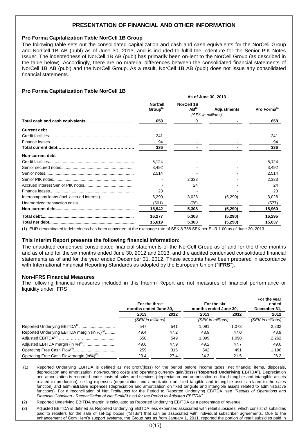# **PRESENTATION OF FINANCIAL AND OTHER INFORMATION**

## **Pro Forma Capitalization Table NorCell 1B Group**

The following table sets out the consolidated capitalization and cash and cash equivalents for the NorCell Group and NorCell 1B AB (publ) as of June 30, 2013, and is included to fulfill the indenture for the Senior PIK Notes Issuer. The indebtedness of NorCell 1B AB (publ) has primarily been on-lent to the NorCell Group (as described in the table below). Accordingly, there are no material differences between the consolidated financial statements of NorCell 1B AB (publ) and the NorCell Group. As a result, NorCell 1B AB (publ) does not issue any consolidated financial statements.

**As of June 30, 2013**

# **Pro Forma Capitalization Table NorCell 1B**

| , vi vuliv vvi sv i v                  |                                 |                    |                          |  |
|----------------------------------------|---------------------------------|--------------------|--------------------------|--|
| <b>NorCell</b><br>Group <sup>(1)</sup> | <b>NorCell 1B</b><br>$AB^{(1)}$ | <b>Adjustments</b> | Pro Forma <sup>(1)</sup> |  |
|                                        |                                 |                    |                          |  |
| 658                                    | 0                               |                    | 658                      |  |
|                                        |                                 |                    |                          |  |
| 241                                    |                                 |                    | 241                      |  |
| 94                                     |                                 |                    | 94                       |  |
| 336                                    |                                 |                    | 336                      |  |
|                                        |                                 |                    |                          |  |
| 5,124                                  |                                 |                    | 5,124                    |  |
| 3.492                                  |                                 |                    | 3.492                    |  |
| 2,514                                  |                                 |                    | 2,514                    |  |
|                                        | 2,333                           |                    | 2,333                    |  |
|                                        | 24                              |                    | 24                       |  |
| 23                                     |                                 |                    | 23                       |  |
| 5,290                                  | 3,028                           | (5,290)            | 3,028                    |  |
| (501)                                  | (76)                            |                    | (577)                    |  |
| 15.942                                 | 5,308                           | (5, 290)           | 15,960                   |  |
| 16,277                                 | 5,308                           | (5, 290)           | 16,295                   |  |
| 15,619                                 | 5,308                           | (5, 290)           | 15,637                   |  |
|                                        |                                 |                    | (SEK in millions)        |  |

(1) EUR denominated indebtedness has been converted at the exchange rate of SEK 8.758 SEK per EUR 1.00 as of June 30, 2013.

#### **This Interim Report presents the following financial information:**

The unaudited condensed consolidated financial statements of the NorCell Group as of and for the three months and as of and for the six months ended June 30, 2012 and 2013, and the audited condensed consolidated financial statements as of and for the year ended December 31, 2012. These accounts have been prepared in accordance with International Financial Reporting Standards as adopted by the European Union ("**IFRS**").

#### **Non-IFRS Financial Measures**

The following financial measures included in this Interim Report are not measures of financial performance or liquidity under IFRS

|                                                         | For the three<br>months ended June 30, |                   | For the six<br>months ended June 30, | For the year<br>ended<br>December 31, |                   |
|---------------------------------------------------------|----------------------------------------|-------------------|--------------------------------------|---------------------------------------|-------------------|
|                                                         | 2013                                   | 2012              | 2013                                 | 2012                                  | 2012              |
|                                                         |                                        | (SEK in millions) |                                      | (SEK in millions)                     | (SEK in millions) |
|                                                         | 547                                    | 541               | 1.091                                | 1.073                                 | 2,232             |
| Reported Underlying EBITDA margin (in %) <sup>(2)</sup> | 49.4                                   | 47.2              | 48.9                                 | 47.0                                  | 48.9              |
|                                                         | 550                                    | 549               | 1.099                                | 1.090                                 | 2,262             |
| Adjusted EBITDA margin (in %) <sup>(4)</sup>            | 49.6                                   | 47.9              | 49.2                                 | 47.7                                  | 49.6              |
|                                                         | 259                                    | 315               | 542                                  | 491                                   | 1.196             |
| Operating Free Cash Flow margin (in%) <sup>(6)</sup>    | 23.4                                   | 27.4              | 24.3                                 | 21.5                                  | 26.2              |

(1) Reported Underlying EBITDA is defined as net profit/(loss) for the period before income taxes, net financial items, disposals, depreciation and amortization, non-recurring costs and operating currency gain/(loss) ("**Reported Underlying EBITDA**"). Depreciation and amortization is recorded under costs of sales and services (depreciation and amortization on fixed tangible and intangible assets related to production), selling expenses (depreciation and amortization on fixed tangible and intangible assets related to the sales function) and administrative expenses (depreciation and amortization on fixed tangible and intangible assets related to administrative functions). For a reconciliation of Net Profit/Loss for the Period to Reported Underlying EBITDA, see *"Results of Operations and Financial Condition* - *Reconciliation of Net Profit/(Loss) for the Period to Adjusted EBITDA"*.

(2) Reported Underlying EBITDA margin is calculated as Reported Underlying EBITDA as a percentage of revenue.

(3) Adjusted EBITDA is defined as Reported Underlying EBITDA less expenses associated with retail subsidies, which consist of subsidies paid to retailers for the sale of set-top boxes ("STBs") that can be associated with individual subscriber agreements. Due to the enhancement of Com Hem's support systems, the Group has as from January 1, 2011, reported the portion of retail subsidies paid in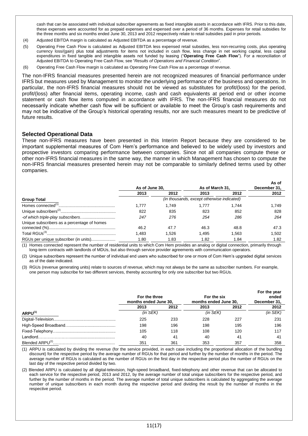cash that can be associated with individual subscriber agreements as fixed intangible assets in accordance with IFRS. Prior to this date, these expenses were accounted for as prepaid expenses and expensed over a period of 36 months. Expenses for retail subsidies for the three months and six months ended June 30, 2013 and 2012 respectively relate to retail subsidies paid in prior periods.

- (4) Adjusted EBITDA margin is calculated as Adjusted EBITDA as a percentage of revenue.
- (5) Operating Free Cash Flow is calculated as Adjusted EBITDA less expensed retail subsidies, less non-recurring costs, plus operating currency loss/(gain) plus total adjustments for items not included in cash flow, less change in net working capital, less capital expenditures in fixed tangible and intangible assets not funded by leasing ("**Operating Free Cash Flow**"). For a reconciliation of Adjusted EBITDA to Operating Free Cash Flow, see "*Results of Operations and Financial Condition*".
- (6) Operating Free Cash Flow margin is calculated as Operating Free Cash Flow as a percentage of revenue.

The non-IFRS financial measures presented herein are not recognized measures of financial performance under IFRS but measures used by Management to monitor the underlying performance of the business and operations. In particular, the non-IFRS financial measures should not be viewed as substitutes for profit/(loss) for the period, profit/(loss) after financial items, operating income, cash and cash equivalents at period end or other income statement or cash flow items computed in accordance with IFRS. The non-IFRS financial measures do not necessarily indicate whether cash flow will be sufficient or available to meet the Group's cash requirements and may not be indicative of the Group's historical operating results, nor are such measures meant to be predictive of future results.

#### **Selected Operational Data**

These non-IFRS measures have been presented in this Interim Report because they are considered to be important supplemental measures of Com Hem's performance and believed to be widely used by investors and prospective investors comparing performance between companies. Since not all companies compute these or other non-IFRS financial measures in the same way, the manner in which Management has chosen to compute the non-IFRS financial measures presented herein may not be comparable to similarly defined terms used by other companies.

|                                             | As of June 30, |       | As of March 31, |       | As of<br>December 31. |
|---------------------------------------------|----------------|-------|-----------------|-------|-----------------------|
|                                             | 2013           | 2012  | 2013            | 2012  | 2012                  |
| <b>Group Total</b>                          |                |       |                 |       |                       |
|                                             | 1.777          | 1.749 | 1.777           | 1.744 | 1.749                 |
|                                             | 822            | 835   | 823             | 852   | 828                   |
| -of which triple-play subscribers           | 247            | 276   | 254             | 286   | 264                   |
| Unique subscribers as a percentage of homes | 46.2           | 47.7  | 46.3            | 48.8  | 47.3                  |
|                                             | 1.483          | 1.526 | 1,495           | 1.563 | 1.502                 |
|                                             | 1.80           | 1.83  | 1.82            | 1.84  | 1.82                  |

(1) Homes connected represent the number of residential units to which Com Hem provides an analog or digital connection, primarily through long-term contracts with landlords of MDUs, but also through service provider agreements with communication operators.

(2) Unique subscribers represent the number of individual end users who subscribed for one or more of Com Hem's upgraded digital services as of the date indicated.

(3) RGUs (revenue generating units) relate to sources of revenue, which may not always be the same as subscriber numbers. For example, one person may subscribe for two different services, thereby accounting for only one subscriber but two RGUs.

|                     | For the three<br>months ended June 30, |      | For the six<br>months ended June 30, | For the year<br>ended<br>December 31, |               |
|---------------------|----------------------------------------|------|--------------------------------------|---------------------------------------|---------------|
|                     | 2013                                   | 2012 | 2013                                 | 2012                                  | 2012          |
| ARPU <sup>(1)</sup> | $(in$ SEK $)$                          |      | $(in$ SEK $)$                        |                                       | $(in$ SEK $)$ |
|                     | 225                                    | 233  | 228                                  | 227                                   | 231           |
|                     | 198                                    | 196  | 198                                  | 195                                   | 196           |
|                     | 105                                    | 118  | 108                                  | 120                                   | 117           |
|                     | 40                                     | 41   | 40                                   | 41                                    | 41            |
|                     | 351                                    | 361  | 353                                  | 357                                   | 358           |

(1) ARPU is calculated by dividing the revenue (for the service provided, in each case including the proportional allocation of the bundling discount) for the respective period by the average number of RGUs for that period and further by the number of months in the period. The average number of RGUs is calculated as the number of RGUs on the first day in the respective period plus the number of RGUs on the last day of the respective period divided by two.

(2) Blended ARPU is calculated by all digital-television, high-speed broadband, fixed-telephony and other revenue that can be allocated to each service for the respective period, 2013 and 2012, by the average number of total unique subscribers for the respective period, and further by the number of months in the period. The average number of total unique subscribers is calculated by aggregating the average number of unique subscribers in each month during the respective period and dividing the result by the number of months in the respective period.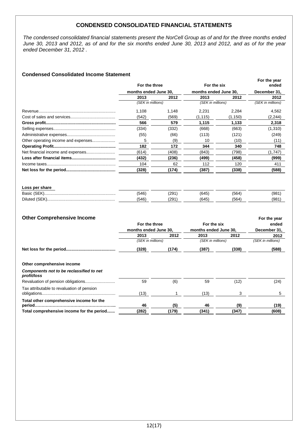# **CONDENSED CONSOLIDATED FINANCIAL STATEMENTS**

*The condensed consolidated financial statements present the NorCell Group as of and for the three months ended June 30, 2013 and 2012, as of and for the six months ended June 30, 2013 and 2012, and as of for the year ended December 31, 2012 .*

# **Condensed Consolidated Income Statement**

|                       |       |                                    |         | For the year<br>ended            |
|-----------------------|-------|------------------------------------|---------|----------------------------------|
| months ended June 30. |       | months ended June 30.              |         | December 31.                     |
| 2013                  | 2012  | 2013                               | 2012    | 2012                             |
|                       |       |                                    |         | (SEK in millions)                |
| 1.108                 | 1.148 | 2.231                              | 2.284   | 4,562                            |
| (542)                 | (569) | (1, 115)                           | (1,150) | (2, 244)                         |
| 566                   | 579   | 1,115                              | 1,133   | 2,318                            |
| (334)                 | (332) | (668)                              | (663)   | (1,310)                          |
| (55)                  | (66)  | (113)                              | (121)   | (249)                            |
| 5                     | (9)   | 10                                 | (10)    | (11)                             |
| 182                   | 172   | 344                                | 340     | 748                              |
| (614)                 | (408) | (843)                              | (798)   | (1,747)                          |
| (432)                 | (236) | (499)                              | (458)   | (999)                            |
| 104                   | 62    | 112                                | 120     | 411                              |
| (328)                 | (174) | (387)                              | (338)   | (588)                            |
|                       |       | For the three<br>(SEK in millions) |         | For the six<br>(SEK in millions) |

#### **Loss per share**

| LUJJ NUL JHULU |            |     |           |           |              |
|----------------|------------|-----|-----------|-----------|--------------|
| Basi           | $\Delta F$ |     | 74E<br>т. | า∠<br>.UU | $98^{\circ}$ |
| Dilute<br>.    | :16        | 201 | . .       | . UU      | ∕∩0<br>ုဘပ   |

# **Other Comprehensive Income For the year For the year For the year For the year**

|                                                         | For the three<br>months ended June 30. |       | For the six<br>months ended June 30. |       | ended<br>December 31, |
|---------------------------------------------------------|----------------------------------------|-------|--------------------------------------|-------|-----------------------|
|                                                         |                                        |       |                                      |       |                       |
|                                                         | 2013                                   | 2012  | 2013                                 | 2012  | 2012                  |
|                                                         | (SEK in millions)                      |       | (SEK in millions)                    |       | (SEK in millions)     |
|                                                         | (328)                                  | (174) | (387)                                | (338) | (588)                 |
| Other comprehensive income                              |                                        |       |                                      |       |                       |
| Components not to be reclassified to net<br>profit/loss |                                        |       |                                      |       |                       |
|                                                         | 59                                     | (6)   | 59                                   | (12)  | (24)                  |
| Tax attributable to revaluation of pension              | (13)                                   |       | (13)                                 | 3     | 5                     |
| Total other comprehensive income for the                | 46                                     | (5)   | 46                                   | (9)   | (19)                  |
| Total comprehensive income for the period               | (282)                                  | (179) | (341)                                | (347) | (608)                 |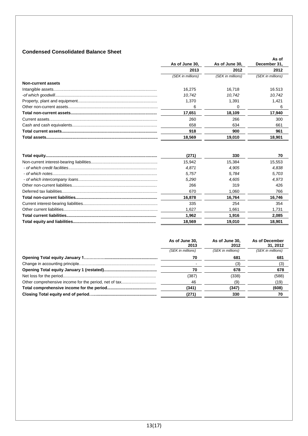# **Condensed Consolidated Balance Sheet**

|                    | As of June 30,    | As of June 30,    | As of<br>December 31. |
|--------------------|-------------------|-------------------|-----------------------|
|                    | 2013              | 2012              | 2012                  |
|                    | (SEK in millions) | (SEK in millions) | (SEK in millions)     |
| Non-current assets |                   |                   |                       |
|                    | 16.275            | 16.718            | 16.513                |
|                    | 10.742            | 10.742            | 10,742                |
|                    | 1.370             | 1.391             | 1.421                 |
|                    | 6                 | 0                 | 6                     |
|                    | 17.651            | 18.109            | 17.940                |
|                    | 260               | 266               | 300                   |
|                    | 658               | 634               | 661                   |
|                    | 918               | 900               | 961                   |
|                    | 18,569            | 19.010            | 18.901                |

| (271)  | 330    | 70     |
|--------|--------|--------|
| 15.942 | 15.384 | 15.553 |
| 4.871  | 4.905  | 4.838  |
| 5.757  | 5.784  | 5.703  |
| 5.290  | 4.605  | 4.973  |
| 266    | 319    | 426    |
| 670    | 1.060  | 766    |
| 16.878 | 16.764 | 16,746 |
| 335    | 254    | 354    |
| 1.627  | 1.661  | 1.731  |
| 1.962  | 1.916  | 2.085  |
| 18.569 | 19.010 | 18.901 |

| As of June 30.<br>2013 | As of June 30.<br>2012 | As of December<br>31, 2012 |
|------------------------|------------------------|----------------------------|
| (SEK in millions)      | (SEK in millions)      | (SEK in millions)          |
| 70                     | 681                    | 681                        |
|                        |                        |                            |
| 70                     | 678                    | 678                        |
| (387)                  | (338)                  | (588)                      |
| 46                     | (9)                    | (19)                       |
| (341)                  | (347)                  | (608)                      |
| (271)                  | 330                    | 70                         |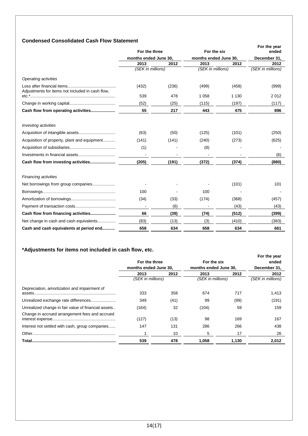# **Condensed Consolidated Cash Flow Statement**

|                                                  | For the three<br>months ended June 30, |       | For the six           |         | For the year<br>ended |
|--------------------------------------------------|----------------------------------------|-------|-----------------------|---------|-----------------------|
|                                                  |                                        |       | months ended June 30, |         | December 31,          |
|                                                  | 2013                                   | 2012  | 2013                  | 2012    | 2012                  |
|                                                  | (SEK in millions)                      |       | (SEK in millions)     |         | (SEK in millions)     |
| Operating activities                             |                                        |       |                       |         |                       |
| Adjustments for items not included in cash flow, | (432)                                  | (236) | (499)                 | (458)   | (999)                 |
|                                                  | 539                                    | 478   | 1 0 5 8               | 1 1 3 0 | 2012                  |
|                                                  | (52)                                   | (25)  | (115)                 | (197)   | (117)                 |
| Cash flow from operating activities              | 55                                     | 217   | 443                   | 475     | 896                   |
| <b>Investing activities</b>                      |                                        |       |                       |         |                       |
|                                                  | (63)                                   | (50)  | (125)                 | (101)   | (250)                 |
| Acquisition of property, plant and equipment     | (141)                                  | (141) | (240)                 | (273)   | (625)                 |
|                                                  | (1)                                    |       | (8)                   |         |                       |
|                                                  |                                        |       |                       |         | (6)                   |
|                                                  | (205)                                  | (191) | (372)                 | (374)   | (880)                 |
| <b>Financing activities</b>                      |                                        |       |                       |         |                       |
|                                                  |                                        |       |                       | (101)   | 101                   |
|                                                  | 100                                    |       | 100                   |         |                       |
|                                                  | (34)                                   | (33)  | (174)                 | (368)   | (457)                 |
|                                                  |                                        | (6)   |                       | (43)    | (43)                  |
|                                                  | 66                                     | (39)  | (74)                  | (512)   | (399)                 |
| Net change in cash and cash equivalents          | (83)                                   | (13)  | (3)                   | (410)   | (383)                 |
| Cash and cash equivalents at period end          | 658                                    | 634   | 658                   | 634     | 661                   |

# **\*Adjustments for items not included in cash flow, etc.**

|                                                     |                       |      |                       |       | For the year      |
|-----------------------------------------------------|-----------------------|------|-----------------------|-------|-------------------|
|                                                     | For the three         |      | For the six           |       | ended             |
|                                                     | months ended June 30. |      | months ended June 30. |       | December 31.      |
|                                                     | 2013                  | 2012 | 2013                  | 2012  | 2012              |
|                                                     | (SEK in millions)     |      | (SEK in millions)     |       | (SEK in millions) |
| Depreciation, amortization and impairment of        |                       |      |                       |       |                   |
|                                                     | 333                   | 358  | 674                   | 717   | 1,413             |
|                                                     | 349                   | (41) | 99                    | (99)  | (191)             |
| Unrealized change in fair value of financial assets | (164)                 | 32   | (104)                 | 59    | 159               |
| Change in accrued arrangement fees and accrued      |                       |      |                       |       |                   |
|                                                     | (127)                 | (13) | 98                    | 169   | 167               |
| Interest not settled with cash, group companies     | 147                   | 131  | 286                   | 266   | 438               |
|                                                     |                       | 10   | 5                     | 17    | 26                |
|                                                     | 539                   | 478  | 1.058                 | 1,130 | 2.012             |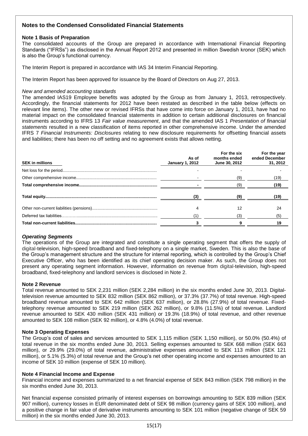# **Notes to the Condensed Consolidated Financial Statements**

# **Note 1 Basis of Preparation**

The consolidated accounts of the Group are prepared in accordance with International Financial Reporting Standards ("IFRSs") as disclosed in the Annual Report 2012 and presented in million Swedish kronor (SEK) which is also the Group's functional currency.

The Interim Report is prepared in accordance with IAS 34 Interim Financial Reporting.

The Interim Report has been approved for issuance by the Board of Directors on Aug 27, 2013.

### *New and amended accounting standards*

The amended IAS19 Employee benefits was adopted by the Group as from January 1, 2013, retrospectively. Accordingly, the financial statements for 2012 have been restated as described in the table below (effects on relevant line items). The other new or revised IFRSs that have come into force on January 1, 2013, have had no material impact on the consolidated financial statements in addition to certain additional disclosures on financial instruments according to IFRS 13 *Fair value measurement*, and that the amended IAS 1 *Presentation of financial statements* resulted in a new classification of items reported in other comprehensive income. Under the amended IFRS 7 *Financial Instruments: Disclosures* relating to new disclosure requirements for offsetting financial assets and liabilities; there has been no off setting and no agreement exists that allows netting.

| <b>SEK in millions</b> | As of<br><b>January 1, 2012</b> | For the six<br>months ended<br>June 30, 2012 | For the year<br>ended December<br>31, 2012 |
|------------------------|---------------------------------|----------------------------------------------|--------------------------------------------|
|                        |                                 |                                              |                                            |
|                        |                                 | (9)                                          | (19)                                       |
|                        |                                 |                                              | (19)                                       |
|                        |                                 |                                              | (19)                                       |
|                        |                                 |                                              | 24                                         |
|                        |                                 |                                              | (5)                                        |
|                        |                                 |                                              | 19                                         |

# *Operating Segments*

The operations of the Group are integrated and constitute a single operating segment that offers the supply of digital-television, high-speed broadband and fixed-telephony on a single market, Sweden. This is also the base of the Group's management structure and the structure for internal reporting, which is controlled by the Group's Chief Executive Officer, who has been identified as its chief operating decision maker. As such, the Group does not present any operating segment information. However, information on revenue from digital-television, high-speed broadband, fixed-telephony and landlord services is disclosed in Note 2.

#### **Note 2 Revenue**

Total revenue amounted to SEK 2,231 million (SEK 2,284 million) in the six months ended June 30, 2013. Digitaltelevision revenue amounted to SEK 832 million (SEK 862 million), or 37.3% (37.7%) of total revenue. High-speed broadband revenue amounted to SEK 642 million (SEK 637 million), or 28.8% (27.9%) of total revenue. Fixedtelephony revenue amounted to SEK 219 million (SEK 262 million), or 9.8% (11.5%) of total revenue. Landlord revenue amounted to SEK 430 million (SEK 431 million) or 19.3% (18.9%) of total revenue, and other revenue amounted to SEK 108 million (SEK 92 million), or 4.8% (4.0%) of total revenue.

#### **Note 3 Operating Expenses**

The Group's cost of sales and services amounted to SEK 1,115 million (SEK 1,150 million), or 50.0% (50.4%) of total revenue in the six months ended June 30, 2013. Selling expenses amounted to SEK 668 million (SEK 663 million), or 29.9% (29.0%) of total revenue, administrative expenses amounted to SEK 113 million (SEK 121 million), or 5.1% (5.3%) of total revenue and the Group's net other operating income and expenses amounted to an income of SEK 10 million (expense of SEK 10 million).

#### **Note 4 Financial Income and Expense**

Financial income and expenses summarized to a net financial expense of SEK 843 million (SEK 798 million) in the six months ended June 30, 2013.

Net financial expense consisted primarily of interest expenses on borrowings amounting to SEK 839 million (SEK 907 million), currency losses in EUR denominated debt of SEK 98 million (currency gains of SEK 100 million), and a positive change in fair value of derivative instruments amounting to SEK 101 million (negative change of SEK 59 million) in the six months ended June 30, 2013.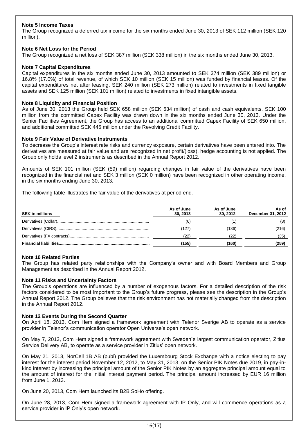# **Note 5 Income Taxes**

The Group recognized a deferred tax income for the six months ended June 30, 2013 of SEK 112 million (SEK 120 million).

## **Note 6 Net Loss for the Period**

The Group recognized a net loss of SEK 387 million (SEK 338 million) in the six months ended June 30, 2013.

## **Note 7 Capital Expenditures**

Capital expenditures in the six months ended June 30, 2013 amounted to SEK 374 million (SEK 389 million) or 16.8% (17.0%) of total revenue, of which SEK 10 million (SEK 15 million) was funded by financial leases. Of the capital expenditures net after leasing, SEK 240 million (SEK 273 million) related to investments in fixed tangible assets and SEK 125 million (SEK 101 million) related to investments in fixed intangible assets.

### **Note 8 Liquidity and Financial Position**

As of June 30, 2013 the Group held SEK 658 million (SEK 634 million) of cash and cash equivalents. SEK 100 million from the committed Capex Facility was drawn down in the six months ended June 30, 2013. Under the Senior Facilities Agreement, the Group has access to an additional committed Capex Facility of SEK 650 million, and additional committed SEK 445 million under the Revolving Credit Facility.

#### **Note 9 Fair Value of Derivative Instruments**

To decrease the Group's interest rate risks and currency exposure, certain derivatives have been entered into. The derivatives are measured at fair value and are recognized in net profit/(loss), hedge accounting is not applied. The Group only holds level 2 instruments as described in the Annual Report 2012.

Amounts of SEK 101 million (SEK (59) million) regarding changes in fair value of the derivatives have been recognized in the financial net and SEK 3 million (SEK 0 million) have been recognized in other operating income, in the six months ending June 30, 2013.

The following table illustrates the fair value of the derivatives at period end.

| <b>SEK in millions</b> | As of June<br>30, 2013 | As of June<br>30.2012 | As of<br>December 31, 2012 |
|------------------------|------------------------|-----------------------|----------------------------|
|                        | (6)                    |                       | (8)                        |
|                        | (127)                  | (136                  | (216)                      |
|                        | $22^{\circ}$           |                       | (35)                       |
|                        | (155)                  | (160                  | (259)                      |

#### **Note 10 Related Parties**

The Group has related party relationships with the Company's owner and with Board Members and Group Management as described in the Annual Report 2012.

#### **Note 11 Risks and Uncertainty Factors**

The Group's operations are influenced by a number of exogenous factors. For a detailed description of the risk factors considered to be most important to the Group's future progress, please see the description in the Group's Annual Report 2012. The Group believes that the risk environment has not materially changed from the description in the Annual Report 2012.

#### **Note 12 Events During the Second Quarter**

On April 18, 2013, Com Hem signed a framework agreement with Telenor Sverige AB to operate as a service provider in Telenor's communication operator Open Universe's open network.

On May 7, 2013, Com Hem signed a framework agreement with Sweden´s largest communication operator, Zitius Service Delivery AB, to operate as a service provider in Zitius' open network.

On May 21, 2013, NorCell 1B AB (publ) provided the Luxembourg Stock Exchange with a notice electing to pay interest for the interest period November 12, 2012, to May 31, 2013, on the Senior PIK Notes due 2019, in pay-inkind interest by increasing the principal amount of the Senior PIK Notes by an aggregate principal amount equal to the amount of interest for the initial interest payment period. The principal amount increased by EUR 16 million from June 1, 2013.

On June 20, 2013, Com Hem launched its B2B SoHo offering.

On June 28, 2013, Com Hem signed a framework agreement with IP Only, and will commence operations as a service provider in IP Only's open network.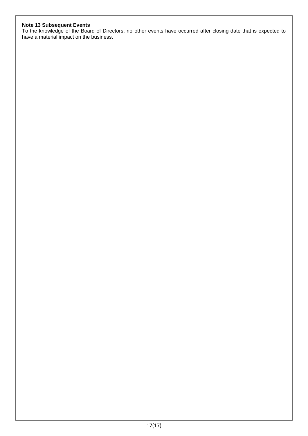# **Note 13 Subsequent Events**

To the knowledge of the Board of Directors, no other events have occurred after closing date that is expected to have a material impact on the business.